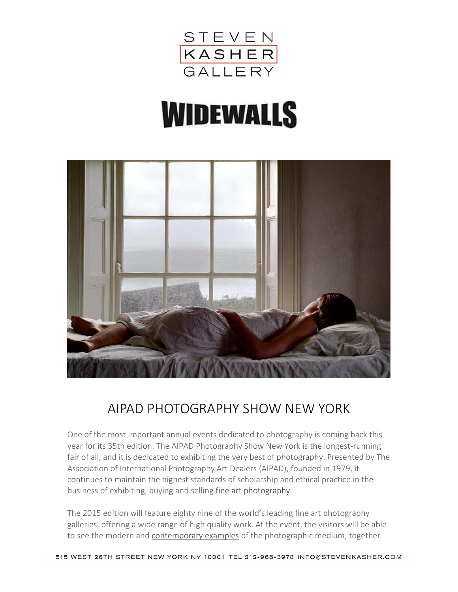

# **WIDEWALLS**



### AIPAD PHOTOGRAPHY SHOW NEW YORK

One of the most important annual events dedicated to photography is coming back this year for its 35th edition. The AIPAD Photography Show New York is the longest-running fair of all, and it is dedicated to exhibiting the very best of photography. Presented by The Association of International Photography Art Dealers (AIPAD), founded in 1979, it continues to maintain the highest standards of scholarship and ethical practice in the business of exhibiting, buying and selling fine art [photography.](http://www.widewalls.ch/fine-art-photography/)

The 2015 edition will feature eighty nine of the world's leading fine art photography galleries, offering a wide range of high quality work. At the event, the visitors will be able to see the modern and [contemporary](http://www.widewalls.ch/the-evolution-of-contemporary-photography/) examples of the photographic medium, together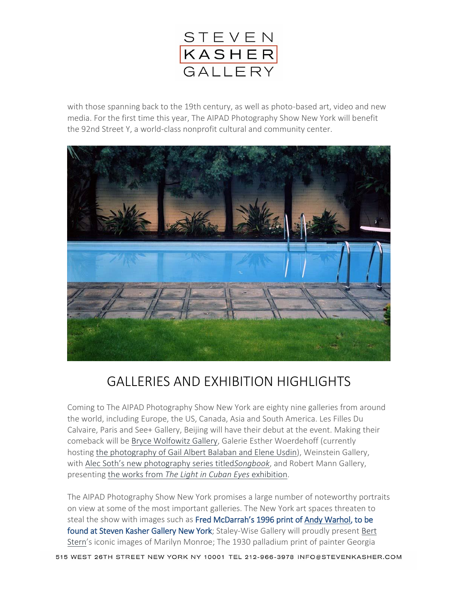

with those spanning back to the 19th century, as well as photo-based art, video and new media. For the first time this year, The AIPAD Photography Show New York will benefit the 92nd Street Y, a world-class nonprofit cultural and community center.



## GALLERIES AND EXHIBITION HIGHLIGHTS

Coming to The AIPAD Photography Show New York are eighty nine galleries from around the world, including Europe, the US, Canada, Asia and South America. Les Filles Du Calvaire, Paris and See+ Gallery, Beijing will have their debut at the event. Making their comeback will be Bryce [Wolfowitz](http://www.widewalls.ch/travels/bryce-wolkowitz-gallery/) Gallery, Galerie Esther Woerdehoff (currently hosting the [photography](http://www.widewalls.ch/esther-woerdehoff-presents-halaban-and-usdin-2015/) of Gail Albert Balaban and Elene Usdin), Weinstein Gallery, with Alec Soth's new [photography](http://www.widewalls.ch/alec-soth-songbook-fraenkel-gallery-2015/) series titled*Songbook*, and Robert Mann Gallery, presenting the works from *The Light in Cuban Eyes* [exhibition.](http://www.widewalls.ch/the-light-in-cuban-eyes-at-robert-mann-2015/)

The AIPAD Photography Show New York promises a large number of noteworthy portraits on view at some of the most important galleries. The New York art spaces threaten to steal the show with images such as Fred McDarrah's 1996 print of [Andy Warhol,](http://www.widewalls.ch/artist/andy-warhol/) to be found at Steven Kasher Gallery New York; Staley-Wise Gallery will proudly present [Bert](http://www.widewalls.ch/artist/bert-stern/) [Stern](http://www.widewalls.ch/artist/bert-stern/)'s iconic images of Marilyn Monroe; The 1930 palladium print of painter Georgia

515 WEST 26TH STREET NEW YORK NY 10001 TEL 212-966-3978 INFO@STEVENKASHER.COM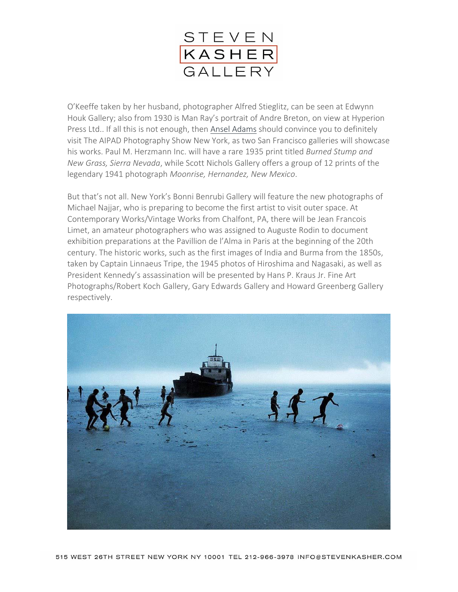

O'Keeffe taken by her husband, photographer Alfred Stieglitz, can be seen at Edwynn Houk Gallery; also from 1930 is Man Ray's portrait of Andre Breton, on view at Hyperion Press Ltd.. If all this is not enough, then Ansel [Adams](http://www.widewalls.ch/10-landscape-photographers/ansel-adams/) should convince you to definitely visit The AIPAD Photography Show New York, as two San Francisco galleries will showcase his works. Paul M. Herzmann Inc. will have a rare 1935 print titled *Burned Stump and New Grass, Sierra Nevada*, while Scott Nichols Gallery offers a group of 12 prints of the legendary 1941 photograph *Moonrise, Hernandez, New Mexico*.

But that's not all. New York's Bonni Benrubi Gallery will feature the new photographs of Michael Najjar, who is preparing to become the first artist to visit outer space. At Contemporary Works/Vintage Works from Chalfont, PA, there will be Jean Francois Limet, an amateur photographers who was assigned to Auguste Rodin to document exhibition preparations at the Pavillion de l'Alma in Paris at the beginning of the 20th century. The historic works, such as the first images of India and Burma from the 1850s, taken by Captain Linnaeus Tripe, the 1945 photos of Hiroshima and Nagasaki, as well as President Kennedy's assassination will be presented by Hans P. Kraus Jr. Fine Art Photographs/Robert Koch Gallery, Gary Edwards Gallery and Howard Greenberg Gallery respectively.